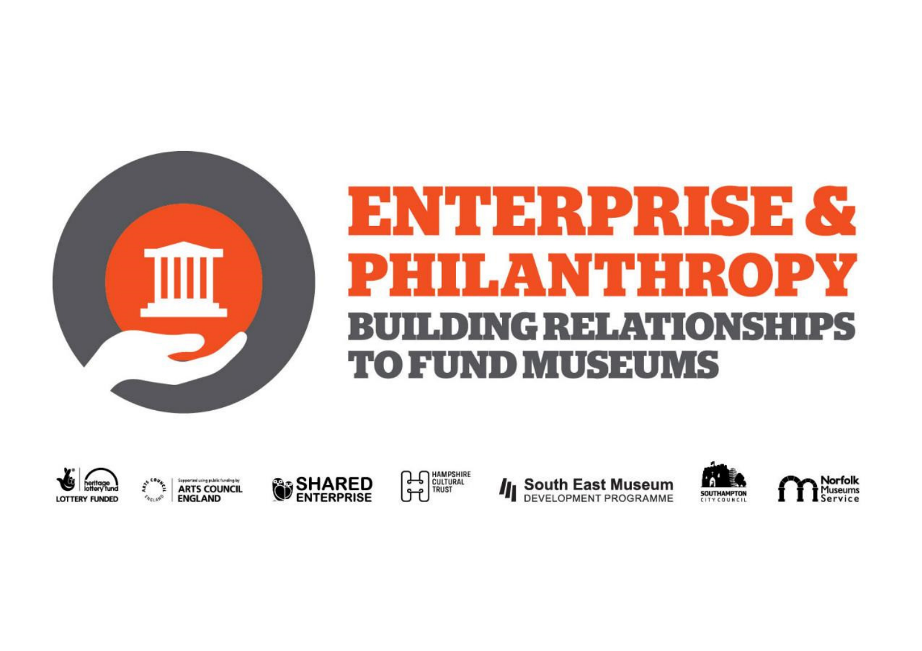

# **ENTERPRISE & PHILANTHROPY BUILDING RELATIONSHIPS** TO FUND MUSEUMS



Supported using public funding is **ARTS COUNCIL TAGLAND ENGLAND** 









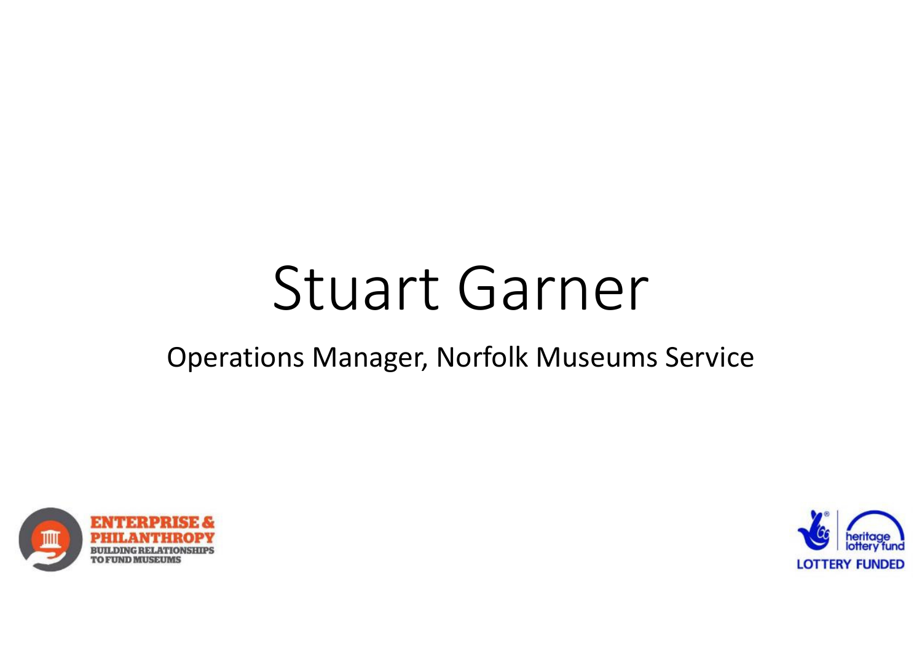# Stuart Garner

#### Operations Manager, Norfolk Museums Service



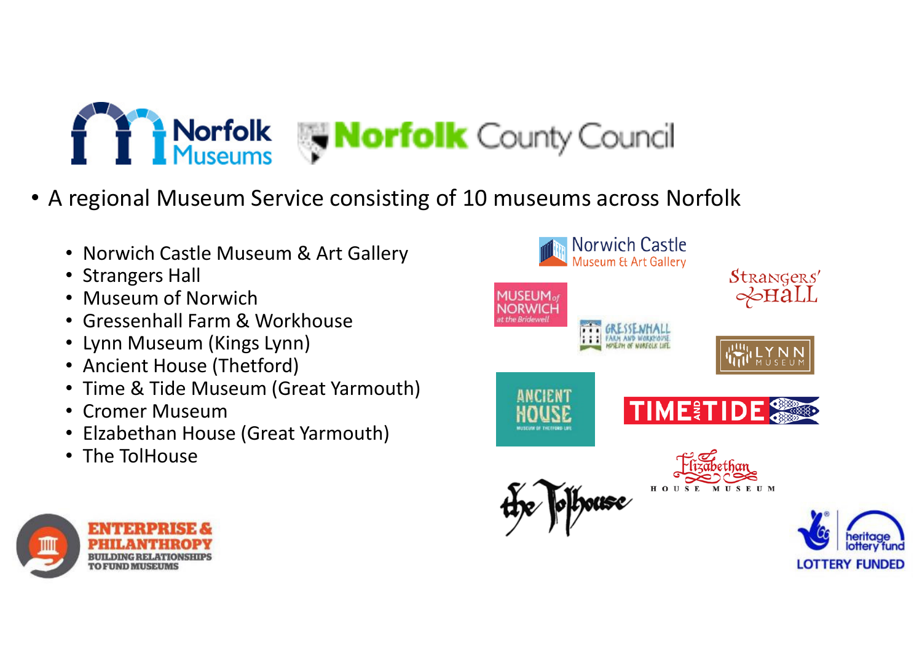

- A regional Museum Service consisting of 10 museums across Norfolk
	- Norwich Castle Museum & Art Gallery
	- Strangers Hall
	- Museum of Norwich
	- Gressenhall Farm & Workhouse
	- Lynn Museum (Kings Lynn)
	- Ancient House (Thetford)
	- Time & Tide Museum (Great Yarmouth)
	- Cromer Museum
	- Elzabethan House (Great Yarmouth)
	- The TolHouse



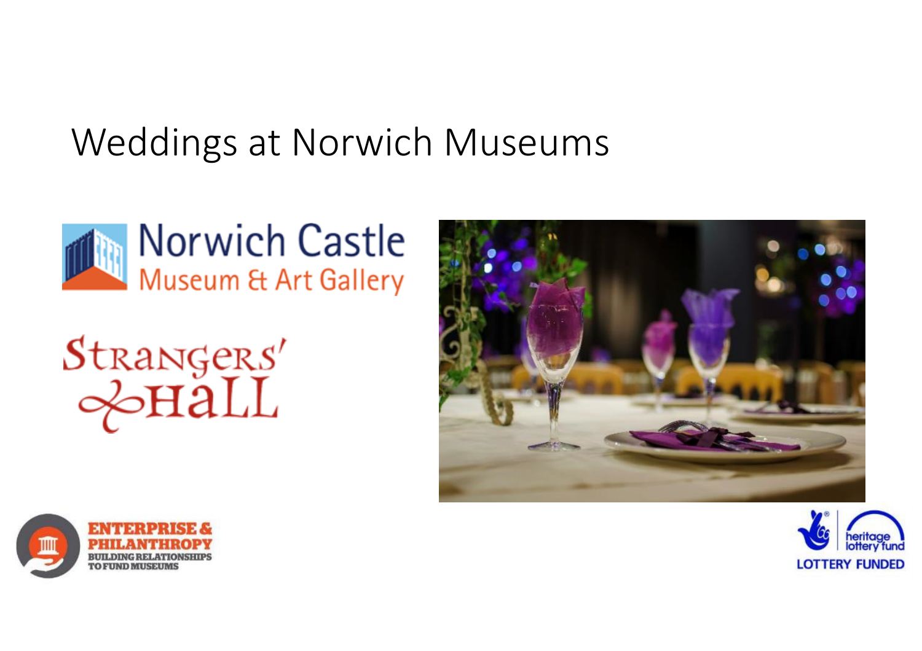#### Weddings at Norwich Museums









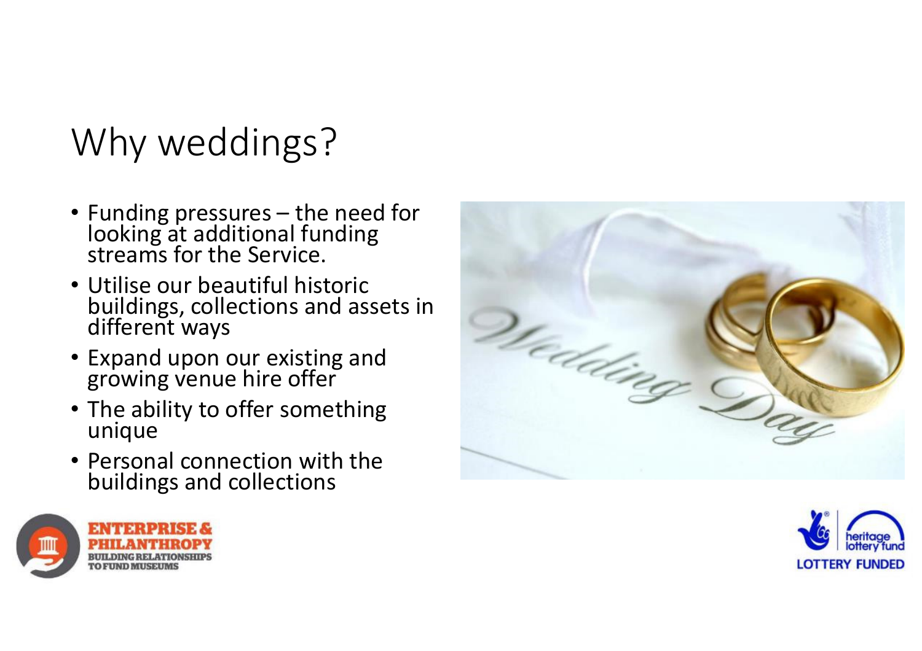## Why weddings?

- Funding pressures the need for looking at additional funding streams for the Service.
- Utilise our beautiful historic buildings, collections and assets in different ways
- Expand upon our existing and growing venue hire offer
- The ability to offer something unique
- Personal connection with the buildings and collections





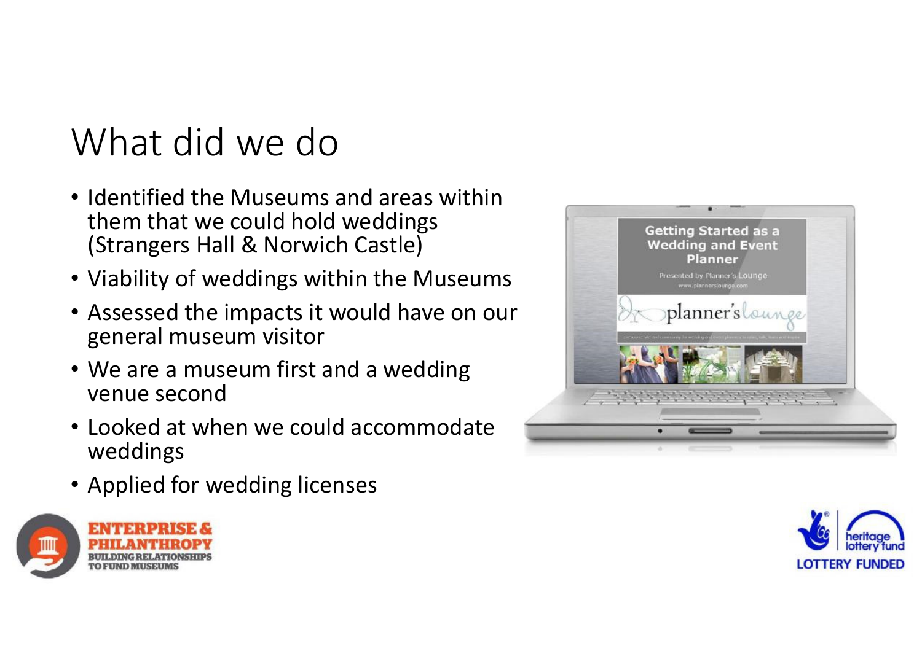### What did we do

- Identified the Museums and areas within them that we could hold weddings (Strangers Hall & Norwich Castle)
- Viability of weddings within the Museums
- Assessed the impacts it would have on our general museum visitor
- We are a museum first and a wedding venue second
- Looked at when we could accommodate weddings
- Applied for wedding licenses





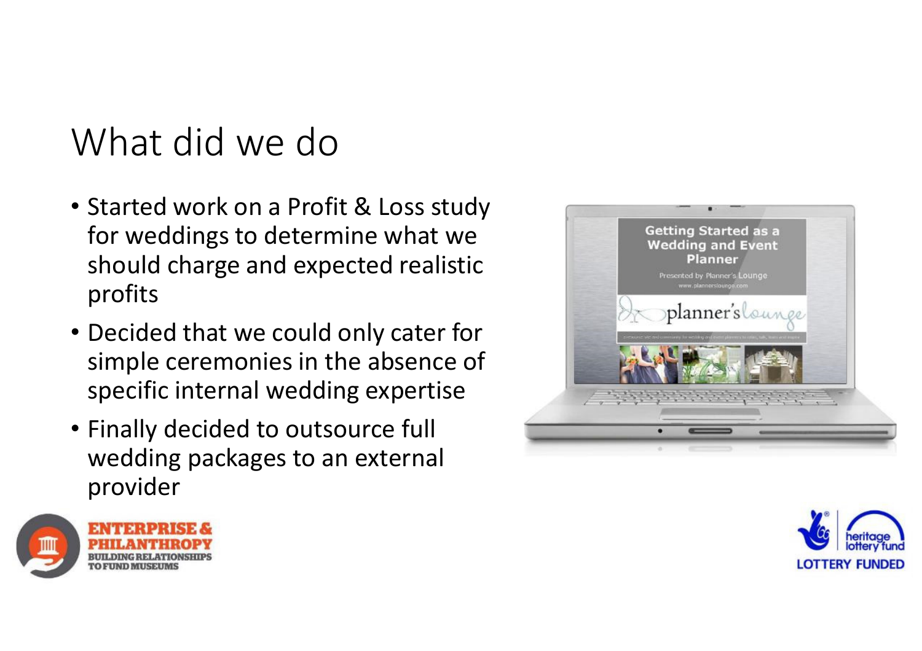### What did we do

- Started work on a Profit & Loss study for weddings to determine what we should charge and expected realistic profits
- Decided that we could only cater for simple ceremonies in the absence of specific internal wedding expertise
- Finally decided to outsource full wedding packages to an external provider





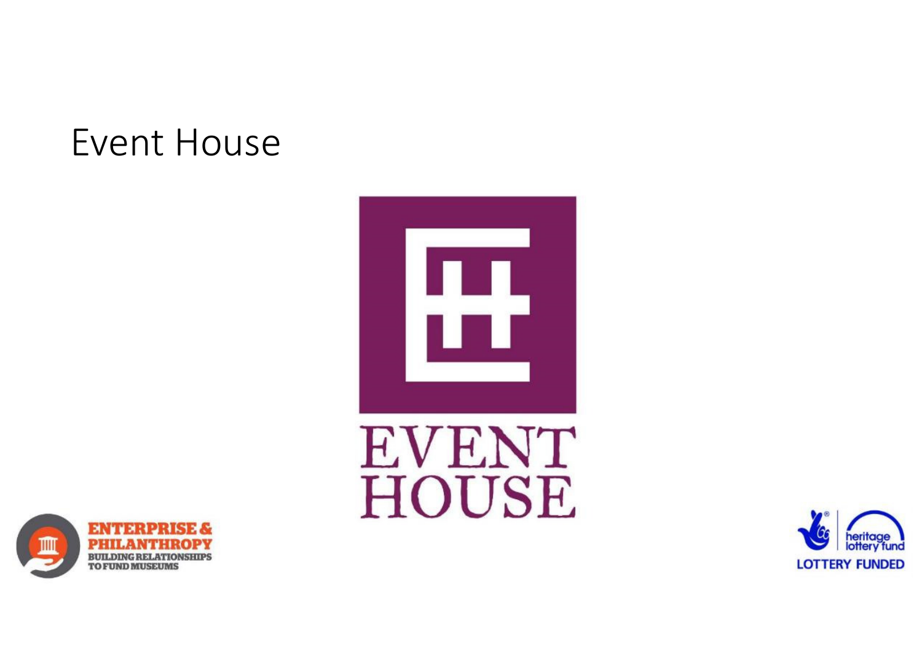#### Event House





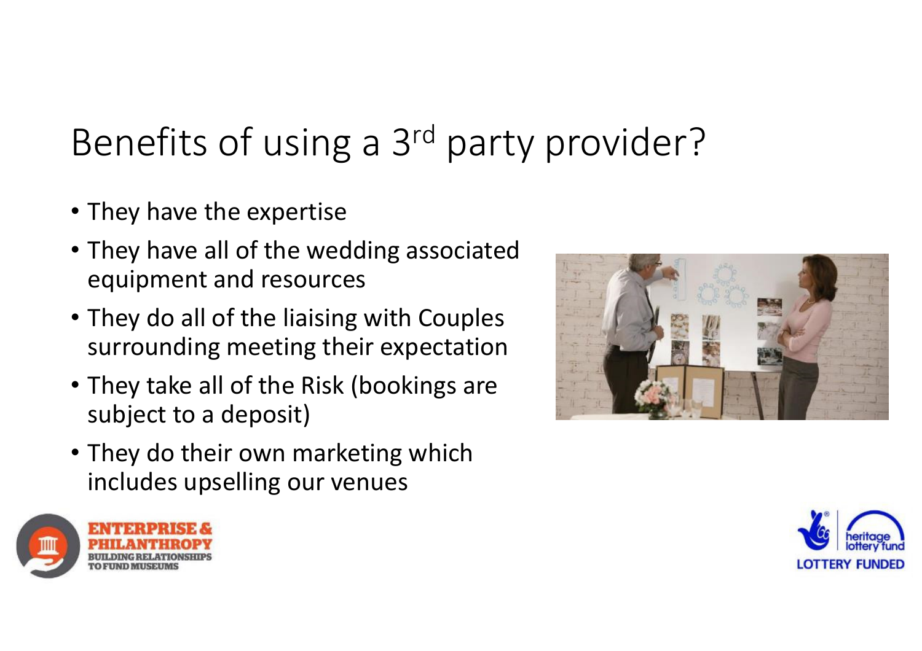# Benefits of using a 3rd party provider?

- They have the expertise
- They have all of the wedding associated equipment and resources
- They do all of the liaising with Couples surrounding meeting their expectation
- They take all of the Risk (bookings are subject to a deposit)
- They do their own marketing which includes upselling our venues





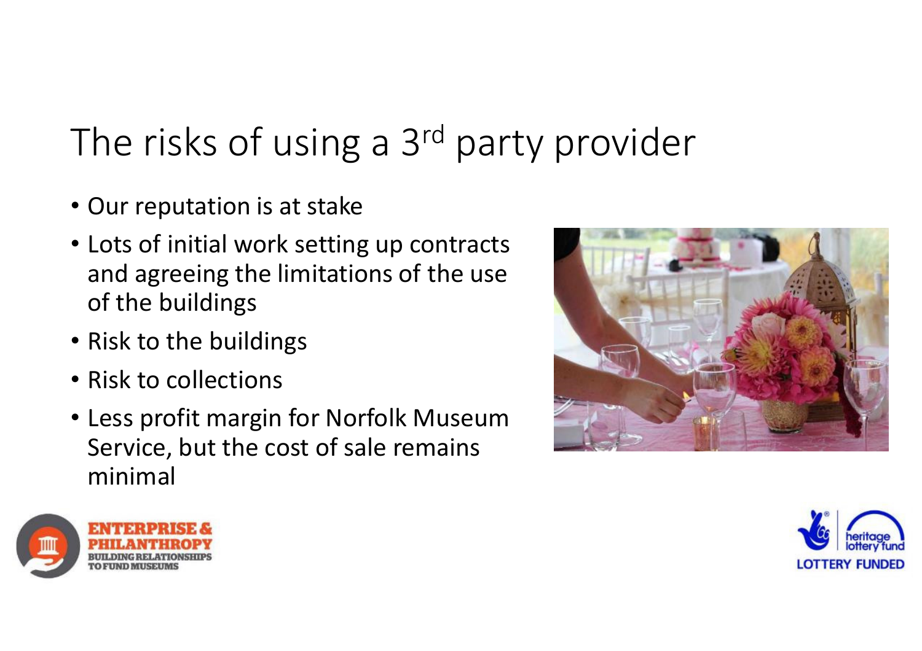# The risks of using a 3<sup>rd</sup> party provider

- Our reputation is at stake
- Lots of initial work setting up contracts and agreeing the limitations of the use of the buildings
- Risk to the buildings
- Risk to collections
- Less profit margin for Norfolk Museum Service, but the cost of sale remains minimal





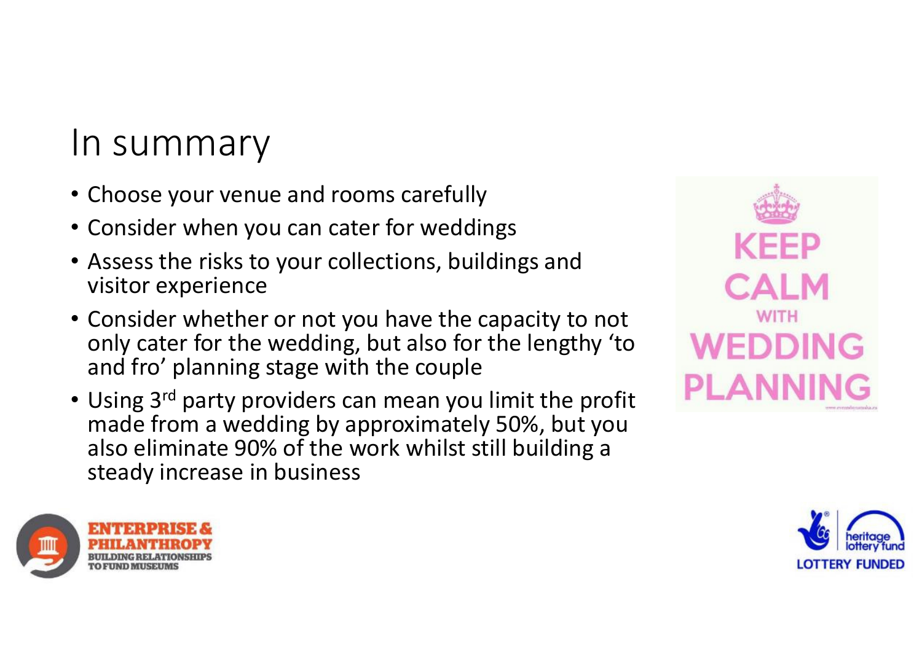#### In summary

- Choose your venue and rooms carefully
- Consider when you can cater for weddings
- Assess the risks to your collections, buildings andvisitor experience
- Consider whether or not you have the capacity to not only cater for the wedding, but also for the lengthy 'to and fro' planning stage with the couple
- Using 3<sup>rd</sup> party providers can mean you limit the profit made from a wedding by approximately 50%, but you also eliminate 90% of the work whilst still building a steady increase in business